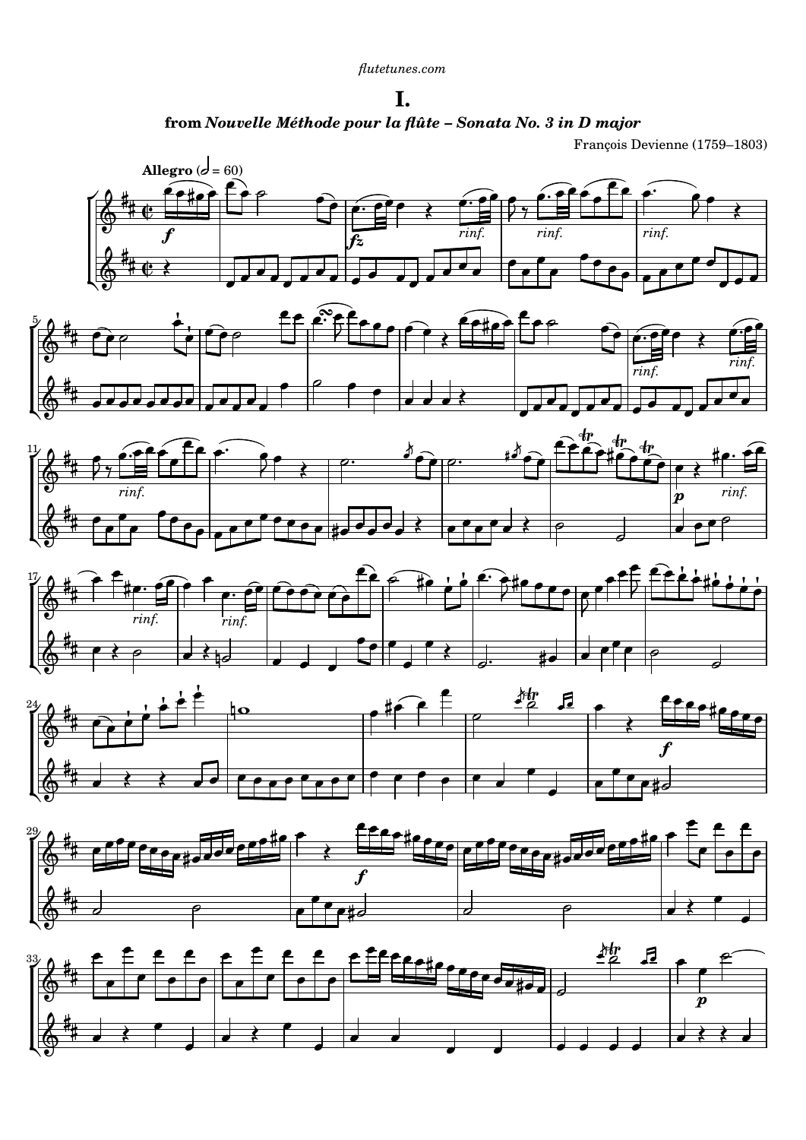**from** *Nouvelle Méthode pour la flûte – Sonata No. 3 in D major*

5

Ľ

François Devienne (1759–1803)



 $\overline{\phantom{a}}$ 

 $\overline{\cdot}$ 

 $\overline{\bullet}$ 

 $\overline{\phantom{a}}$ 

 $\overline{\bullet}$ 

 $\overline{\bullet}$ 

**I.**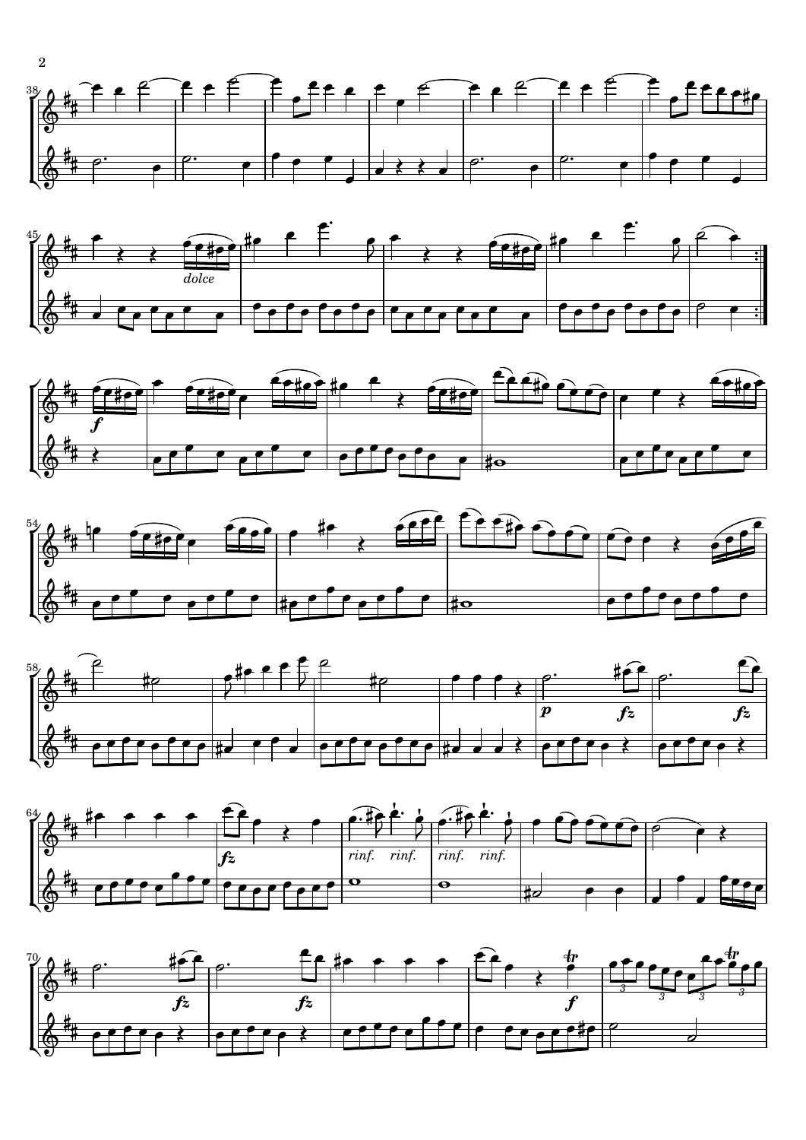